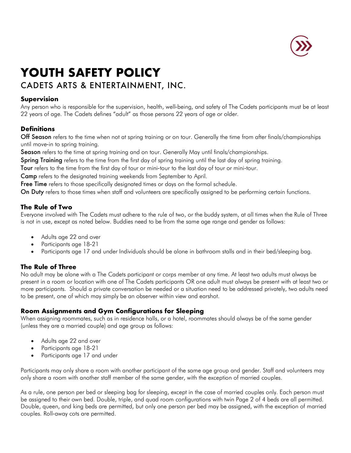

# **YOUTH SAFETY POLICY**

## CADETS ARTS & ENTERTAINMENT, INC.

## **Supervision**

Any person who is responsible for the supervision, health, well-being, and safety of The Cadets participants must be at least 22 years of age. The Cadets defines "adult" as those persons 22 years of age or older.

## **Definitions**

Off Season refers to the time when not at spring training or on tour. Generally the time from after finals/championships until move-in to spring training.

Season refers to the time at spring training and on tour. Generally May until finals/championships.

Spring Training refers to the time from the first day of spring training until the last day of spring training.

Tour refers to the time from the first day of tour or mini-tour to the last day of tour or mini-tour.

Camp refers to the designated training weekends from September to April.

Free Time refers to those specifically designated times or days on the formal schedule.

On Duty refers to those times when staff and volunteers are specifically assigned to be performing certain functions.

## **The Rule of Two**

Everyone involved with The Cadets must adhere to the rule of two, or the buddy system, at all times when the Rule of Three is not in use, except as noted below. Buddies need to be from the same age range and gender as follows:

- Adults age 22 and over
- Participants age 18-21
- Participants age 17 and under Individuals should be alone in bathroom stalls and in their bed/sleeping bag.

## **The Rule of Three**

No adult may be alone with a The Cadets participant or corps member at any time. At least two adults must always be present in a room or location with one of The Cadets participants OR one adult must always be present with at least two or more participants. Should a private conversation be needed or a situation need to be addressed privately, two adults need to be present, one of which may simply be an observer within view and earshot.

## **Room Assignments and Gym Configurations for Sleeping**

When assigning roommates, such as in residence halls, or a hotel, roommates should always be of the same gender (unless they are a married couple) and age group as follows:

- Adults age 22 and over
- Participants age 18-21
- Participants age 17 and under

Participants may only share a room with another participant of the same age group and gender. Staff and volunteers may only share a room with another staff member of the same gender, with the exception of married couples.

As a rule, one person per bed or sleeping bag for sleeping, except in the case of married couples only. Each person must be assigned to their own bed. Double, triple, and quad room configurations with twin Page 2 of 4 beds are all permitted. Double, queen, and king beds are permitted, but only one person per bed may be assigned, with the exception of married couples. Roll-away cots are permitted.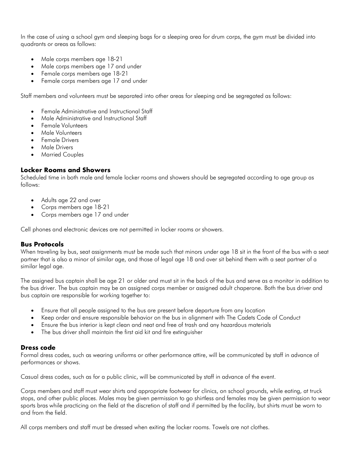In the case of using a school gym and sleeping bags for a sleeping area for drum corps, the gym must be divided into quadrants or areas as follows:

- Male corps members age 18-21
- Male corps members age 17 and under
- Female corps members age 18-21
- Female corps members age 17 and under

Staff members and volunteers must be separated into other areas for sleeping and be segregated as follows:

- Female Administrative and Instructional Staff
- Male Administrative and Instructional Staff
- Female Volunteers
- Male Volunteers
- **Female Drivers**
- Male Drivers
- Married Couples

#### **Locker Rooms and Showers**

Scheduled time in both male and female locker rooms and showers should be segregated according to age group as follows:

- Adults age 22 and over
- Corps members age 18-21
- Corps members age 17 and under

Cell phones and electronic devices are not permitted in locker rooms or showers.

#### **Bus Protocols**

When traveling by bus, seat assignments must be made such that minors under age 18 sit in the front of the bus with a seat partner that is also a minor of similar age, and those of legal age 18 and over sit behind them with a seat partner of a similar legal age.

The assigned bus captain shall be age 21 or older and must sit in the back of the bus and serve as a monitor in addition to the bus driver. The bus captain may be an assigned corps member or assigned adult chaperone. Both the bus driver and bus captain are responsible for working together to:

- Ensure that all people assigned to the bus are present before departure from any location
- Keep order and ensure responsible behavior on the bus in alignment with The Cadets Code of Conduct
- Ensure the bus interior is kept clean and neat and free of trash and any hazardous materials
- The bus driver shall maintain the first aid kit and fire extinguisher

#### **Dress code**

Formal dress codes, such as wearing uniforms or other performance attire, will be communicated by staff in advance of performances or shows.

Casual dress codes, such as for a public clinic, will be communicated by staff in advance of the event.

Corps members and staff must wear shirts and appropriate footwear for clinics, on school grounds, while eating, at truck stops, and other public places. Males may be given permission to go shirtless and females may be given permission to wear sports bras while practicing on the field at the discretion of staff and if permitted by the facility, but shirts must be worn to and from the field.

All corps members and staff must be dressed when exiting the locker rooms. Towels are not clothes.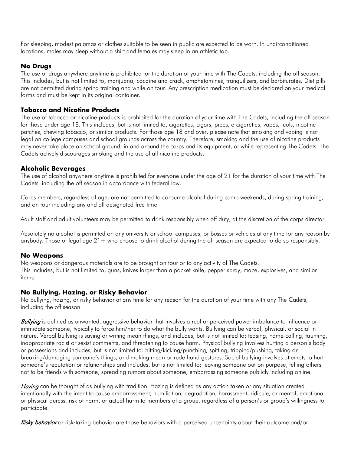For sleeping, modest pajamas or clothes suitable to be seen in public are expected to be worn. In unairconditioned locations, males may sleep without a shirt and females may sleep in an athletic top.

## **No Drugs**

The use of drugs anywhere anytime is prohibited for the duration of your time with The Cadets, including the off season. This includes, but is not limited to, marijuana, cocaine and crack, amphetamines, tranquilizers, and barbiturates. Diet pills are not permitted during spring training and while on tour. Any prescription medication must be declared on your medical forms and must be kept in its original container.

#### **Tobacco and Nicotine Products**

The use of tobacco or nicotine products is prohibited for the duration of your time with The Cadets, including the off season for those under age 18. This includes, but is not limited to, cigarettes, cigars, pipes, e-cigarettes, vapes, juuls, nicotine patches, chewing tobacco, or similar products. For those age 18 and over, please note that smoking and vaping is not legal on college campuses and school grounds across the country. Therefore, smoking and the use of nicotine products may never take place on school ground, in and around the corps and its equipment, or while representing The Cadets. The Cadets actively discourages smoking and the use of all nicotine products.

#### **Alcoholic Beverages**

The use of alcohol anywhere anytime is prohibited for everyone under the age of 21 for the duration of your time with The Cadets including the off season in accordance with federal law.

Corps members, regardless of age, are not permitted to consume alcohol during camp weekends, during spring training, and on tour including any and all designated free time.

Adult staff and adult volunteers may be permitted to drink responsibly when off duty, at the discretion of the corps director.

Absolutely no alcohol is permitted on any university or school campuses, or busses or vehicles at any time for any reason by anybody. Those of legal age  $21+$  who choose to drink alcohol during the off season are expected to do so responsibly.

#### **No Weapons**

No weapons or dangerous materials are to be brought on tour or to any activity of The Cadets. This includes, but is not limited to, guns, knives larger than a pocket knife, pepper spray, mace, explosives, and similar items.

#### **No Bullying, Hazing, or Risky Behavior**

No bullying, hazing, or risky behavior at any time for any reason for the duration of your time with any The Cadets, including the off season.

Bullying is defined as unwanted, aggressive behavior that involves a real or perceived power imbalance to influence or intimidate someone, typically to force him/her to do what the bully wants. Bullying can be verbal, physical, or social in nature. Verbal bullying is saying or writing mean things, and includes, but is not limited to: teasing, name-calling, taunting, inappropriate racist or sexist comments, and threatening to cause harm. Physical bullying involves hurting a person's body or possessions and includes, but is not limited to: hitting/kicking/punching, spitting, tripping/pushing, taking or breaking/damaging someone's things, and making mean or rude hand gestures. Social bullying involves attempts to hurt someone's reputation or relationships and includes, but is not limited to: leaving someone out on purpose, telling others not to be friends with someone, spreading rumors about someone, embarrassing someone publicly including online.

Hazing can be thought of as bullying with tradition. Hazing is defined as any action taken or any situation created intentionally with the intent to cause embarrassment, humiliation, degradation, harassment, ridicule, or mental, emotional or physical duress, risk of harm, or actual harm to members of a group, regardless of a person's or group's willingness to participate.

Risky behavior or risk-taking behavior are those behaviors with a perceived uncertainty about their outcome and/or